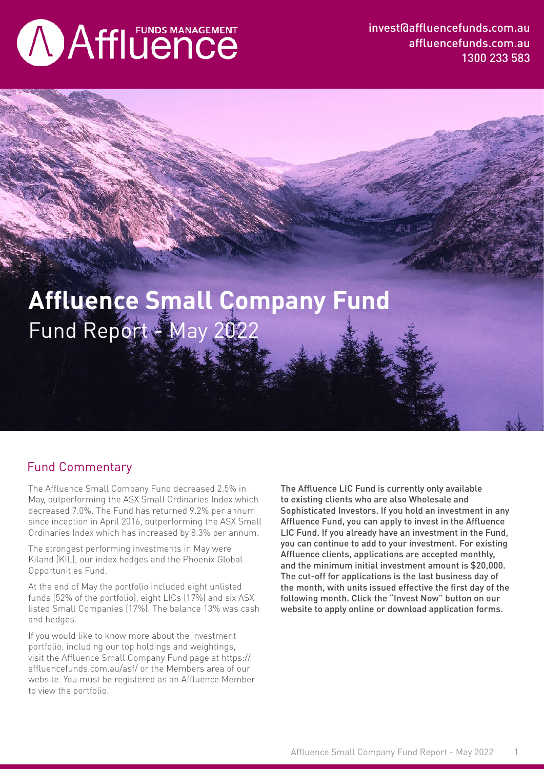# **AAffluence**

invest@affluencefunds.com.au affluencefunds.com.au 1300 233 583

## Fund Report - May 2022 **Affluence Small Company Fund**

#### Fund Commentary

The Affluence Small Company Fund decreased 2.5% in May, outperforming the ASX Small Ordinaries Index which decreased 7.0%. The Fund has returned 9.2% per annum since inception in April 2016, outperforming the ASX Small Ordinaries Index which has increased by 8.3% per annum.

The strongest performing investments in May were Kiland (KIL), our index hedges and the Phoenix Global Opportunities Fund.

At the end of May the portfolio included eight unlisted funds (52% of the portfolio), eight LICs (17%) and six ASX listed Small Companies (17%). The balance 13% was cash and hedges.

If you would like to know more about the investment portfolio, including our top holdings and weightings, visit the Affluence Small Company Fund page at https:// affluencefunds.com.au/asf/ or the Members area of our website. You must be registered as an Affluence Member to view the portfolio.

The Affluence LIC Fund is currently only available to existing clients who are also Wholesale and Sophisticated Investors. If you hold an investment in any Affluence Fund, you can apply to invest in the Affluence LIC Fund. If you already have an investment in the Fund, you can continue to add to your investment. For existing Affluence clients, applications are accepted monthly, and the minimum initial investment amount is \$20,000. The cut-off for applications is the last business day of the month, with units issued effective the first day of the following month. Click the "Invest Now" button on our website to apply online or download application forms.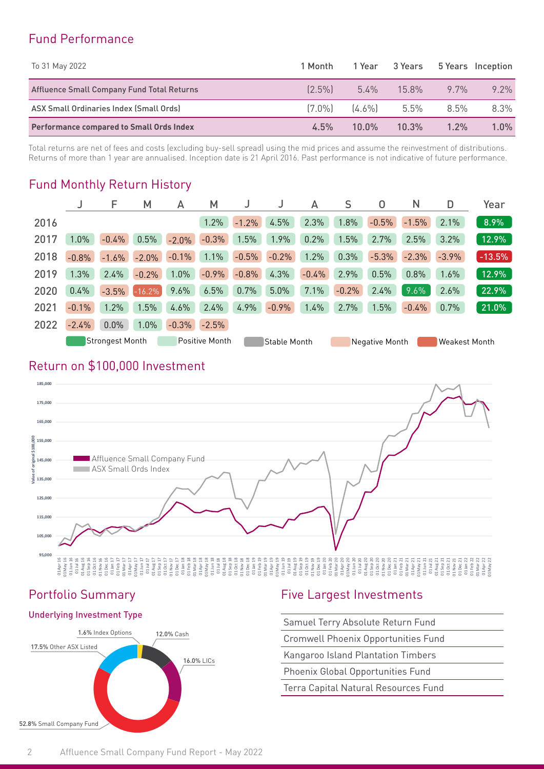#### Fund Performance

| To 31 May 2022                                  | 1 Month   | 1 Year              |          | 3 Years 5 Years Inception |         |
|-------------------------------------------------|-----------|---------------------|----------|---------------------------|---------|
| Affluence Small Company Fund Total Returns      | $[2.5\%]$ | $5.4\%$             | $15.8\%$ | $97\%$                    | $9.2\%$ |
| ASX Small Ordinaries Index (Small Ords)         |           | $[7.0\%]$ $[4.6\%]$ | 5.5%     | 8.5%                      | 8.3%    |
| <b>Performance compared to Small Ords Index</b> | $4.5\%$   | $10.0\%$            | 10.3%    | $1.2\%$                   | 1.0%    |

Total returns are net of fees and costs (excluding buy-sell spread) using the mid prices and assume the reinvestment of distributions. Returns of more than 1 year are annualised. Inception date is 21 April 2016. Past performance is not indicative of future performance.

#### Fund Monthly Return History

|      |         | F               | M        | А       | M              |         |              | А       | S       | 0              | N       | D                    | Year     |
|------|---------|-----------------|----------|---------|----------------|---------|--------------|---------|---------|----------------|---------|----------------------|----------|
| 2016 |         |                 |          |         | 1.2%           | $-1.2%$ | 4.5%         | 2.3%    | 1.8%    | $-0.5%$        | $-1.5%$ | 2.1%                 | 8.9%     |
| 2017 | 1.0%    | $-0.4%$         | 0.5%     | $-2.0%$ | $-0.3%$        | 1.5%    | 1.9%         | 0.2%    | 1.5%    | 2.7%           | 2.5%    | 3.2%                 | 12.9%    |
| 2018 | $-0.8%$ | $-1.6%$         | $-2.0%$  | $-0.1%$ | 1.1%           | $-0.5%$ | $-0.2%$      | 1.2%    | 0.3%    | $-5.3%$        | $-2.3%$ | $-3.9%$              | $-13.5%$ |
| 2019 | 1.3%    | 2.4%            | $-0.2%$  | 1.0%    | $-0.9%$        | $-0.8%$ | 4.3%         | $-0.4%$ | 2.9%    | 0.5%           | 0.8%    | 1.6%                 | 12.9%    |
| 2020 | 0.4%    | $-3.5%$         | $-16.2%$ | 9.6%    | 6.5%           | 0.7%    | 5.0%         | 7.1%    | $-0.2%$ | 2.4%           | 9.6%    | 2.6%                 | 22.9%    |
| 2021 | $-0.1%$ | 1.2%            | 1.5%     | 4.6%    | 2.4%           | 4.9%    | $-0.9%$      | 1.4%    | 2.7%    | 1.5%           | $-0.4%$ | 0.7%                 | 21.0%    |
| 2022 | $-2.4%$ | 0.0%            | 1.0%     | $-0.3%$ | $-2.5%$        |         |              |         |         |                |         |                      |          |
|      |         | Strongest Month |          |         | Positive Month |         | Stable Month |         |         | Negative Month |         | <b>Weakest Month</b> |          |

#### Return on \$100,000 Investment



#### Underlying Investment Type



#### Portfolio Summary Five Largest Investments

|  | Samuel Terry Absolute Return Fund |  |
|--|-----------------------------------|--|
|  |                                   |  |

Cromwell Phoenix Opportunities Fund

Kangaroo Island Plantation Timbers

- 
-